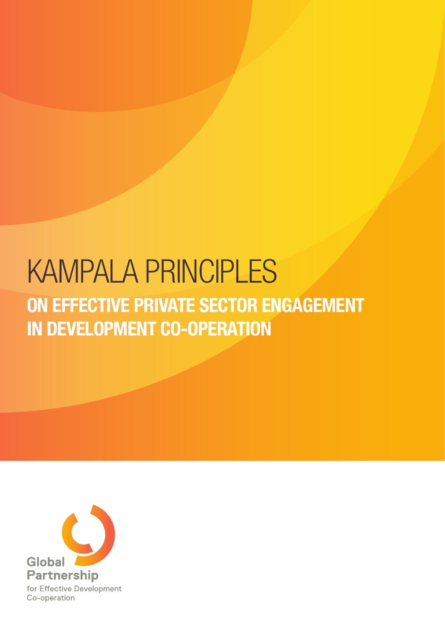# ON EFFECTIVE PRIVATE SECTOR ENGAGEMENT IN DEVELOPMENT CO-OPERATION KAMPALA PRINCIPLES

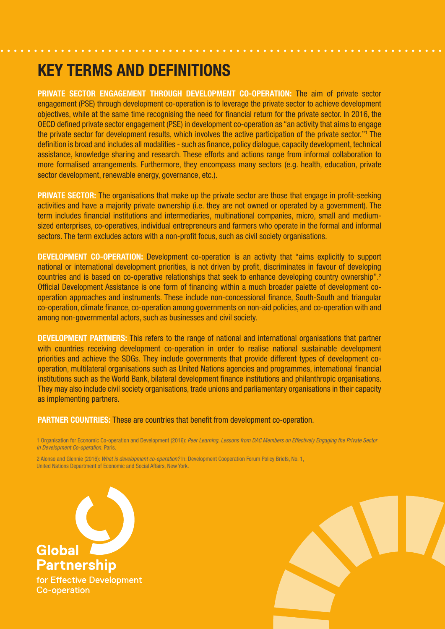## KEY TERMS AND DEFINITIONS

PRIVATE SECTOR ENGAGEMENT THROUGH DEVELOPMENT CO-OPERATION: The aim of private sector engagement (PSE) through development co-operation is to leverage the private sector to achieve development objectives, while at the same time recognising the need for financial return for the private sector. In 2016, the OECD defined private sector engagement (PSE) in development co-operation as "an activity that aims to engage the private sector for development results, which involves the active participation of the private sector."1 The definition is broad and includes all modalities - such as finance, policy dialogue, capacity development, technical assistance, knowledge sharing and research. These efforts and actions range from informal collaboration to more formalised arrangements. Furthermore, they encompass many sectors (e.g. health, education, private sector development, renewable energy, governance, etc.).

PRIVATE SECTOR: The organisations that make up the private sector are those that engage in profit-seeking activities and have a majority private ownership (i.e. they are not owned or operated by a government). The term includes financial institutions and intermediaries, multinational companies, micro, small and mediumsized enterprises, co-operatives, individual entrepreneurs and farmers who operate in the formal and informal sectors. The term excludes actors with a non-profit focus, such as civil society organisations.

DEVELOPMENT CO-OPERATION: Development co-operation is an activity that "aims explicitly to support national or international development priorities, is not driven by profit, discriminates in favour of developing countries and is based on co-operative relationships that seek to enhance developing country ownership".2 Official Development Assistance is one form of financing within a much broader palette of development cooperation approaches and instruments. These include non-concessional finance, South-South and triangular co-operation, climate finance, co-operation among governments on non-aid policies, and co-operation with and among non-governmental actors, such as businesses and civil society.

DEVELOPMENT PARTNERS: This refers to the range of national and international organisations that partner with countries receiving development co-operation in order to realise national sustainable development priorities and achieve the SDGs. They include governments that provide different types of development cooperation, multilateral organisations such as United Nations agencies and programmes, international financial institutions such as the World Bank, bilateral development finance institutions and philanthropic organisations. They may also include civil society organisations, trade unions and parliamentary organisations in their capacity as implementing partners.

#### PARTNER COUNTRIES: These are countries that benefit from development co-operation.

1 Organisation for Economic Co-operation and Development (2016): *Peer Learning. Lessons from DAC Members on Effectively Engaging the Private Sector in Development Co-operation.* Paris.

2 Alonso and Glennie (2016): *What is development co-operation?* In: Development Cooperation Forum Policy Briefs, No. 1, United Nations Department of Economic and Social Affairs, New York.

**Global Partnership** for Effective Development Co-operation

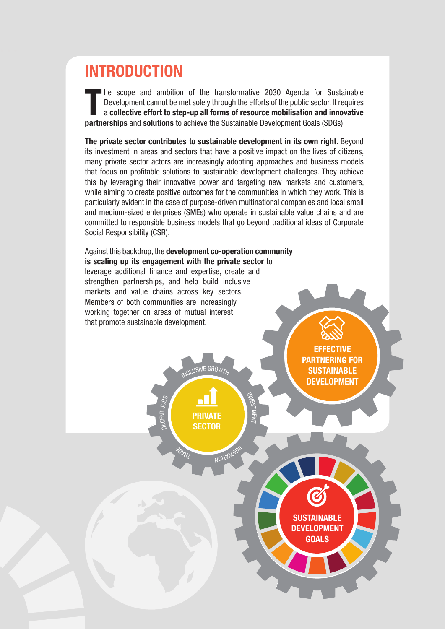# INTRODUCTION

The scope and ambition of the transformative 2030 Agenda for Sustain Development cannot be met solely through the efforts of the public sector. It red a **collective effort to step-up all forms of resource mobilisation and** he scope and ambition of the transformative 2030 Agenda for Sustainable Development cannot be met solely through the efforts of the public sector. It requires a collective effort to step-up all forms of resource mobilisation and innovative

The private sector contributes to sustainable development in its own right. Beyond its investment in areas and sectors that have a positive impact on the lives of citizens, many private sector actors are increasingly adopting approaches and business models that focus on profitable solutions to sustainable development challenges. They achieve this by leveraging their innovative power and targeting new markets and customers, while aiming to create positive outcomes for the communities in which they work. This is particularly evident in the case of purpose-driven multinational companies and local small and medium-sized enterprises (SMEs) who operate in sustainable value chains and are committed to responsible business models that go beyond traditional ideas of Corporate Social Responsibility (CSR).

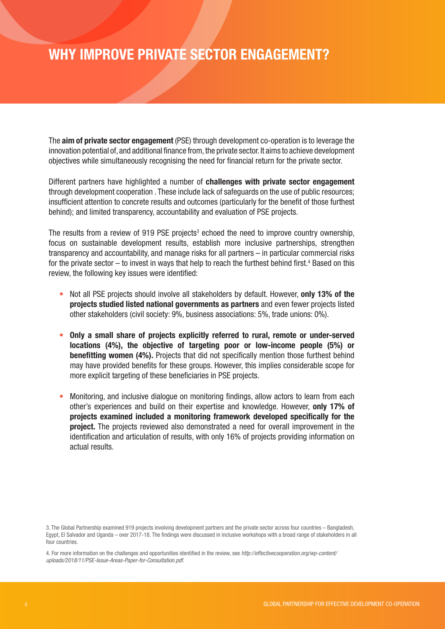## WHY IMPROVE PRIVATE SECTOR ENGAGEMENT?

The aim of private sector engagement (PSE) through development co-operation is to leverage the innovation potential of, and additional finance from, the private sector. It aims to achieve development objectives while simultaneously recognising the need for financial return for the private sector.

Different partners have highlighted a number of challenges with private sector engagement through development cooperation . These include lack of safeguards on the use of public resources; insufficient attention to concrete results and outcomes (particularly for the benefit of those furthest behind); and limited transparency, accountability and evaluation of PSE projects.

The results from a review of 919 PSE projects<sup>3</sup> echoed the need to improve country ownership, focus on sustainable development results, establish more inclusive partnerships, strengthen transparency and accountability, and manage risks for all partners – in particular commercial risks for the private sector – to invest in ways that help to reach the furthest behind first.<sup>4</sup> Based on this review, the following key issues were identified:

- Not all PSE projects should involve all stakeholders by default. However, only 13% of the projects studied listed national governments as partners and even fewer projects listed other stakeholders (civil society: 9%, business associations: 5%, trade unions: 0%).
- Only a small share of projects explicitly referred to rural, remote or under-served locations (4%), the objective of targeting poor or low-income people (5%) or benefitting women (4%). Projects that did not specifically mention those furthest behind may have provided benefits for these groups. However, this implies considerable scope for more explicit targeting of these beneficiaries in PSE projects.
- Monitoring, and inclusive dialogue on monitoring findings, allow actors to learn from each other's experiences and build on their expertise and knowledge. However, only 17% of projects examined included a monitoring framework developed specifically for the project. The projects reviewed also demonstrated a need for overall improvement in the identification and articulation of results, with only 16% of projects providing information on actual results.

3. The Global Partnership examined 919 projects involving development partners and the private sector across four countries – Bangladesh, Egypt, El Salvador and Uganda – over 2017-18. The findings were discussed in inclusive workshops with a broad range of stakeholders in all four countries.

4. For more information on the challenges and opportunities identified in the review, see *http://effectivecooperation.org/wp-content/ uploads/2018/11/PSE-Issue-Areas-Paper-for-Consultation.pdf.*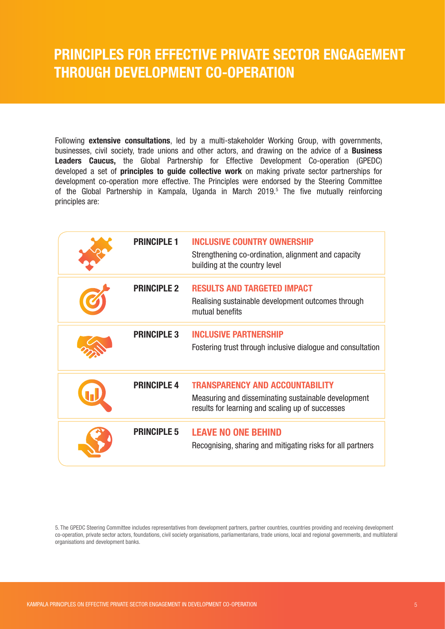## PRINCIPLES FOR EFFECTIVE PRIVATE SECTOR ENGAGEMENT THROUGH DEVELOPMENT CO-OPERATION

Following **extensive consultations**, led by a multi-stakeholder Working Group, with governments, businesses, civil society, trade unions and other actors, and drawing on the advice of a **Business** Leaders Caucus, the Global Partnership for Effective Development Co-operation (GPEDC) developed a set of **principles to guide collective work** on making private sector partnerships for development co-operation more effective. The Principles were endorsed by the Steering Committee of the Global Partnership in Kampala, Uganda in March 2019.<sup>5</sup> The five mutually reinforcing principles are:

| <b>PRINCIPLE 1</b> | <b>INCLUSIVE COUNTRY OWNERSHIP</b><br>Strengthening co-ordination, alignment and capacity<br>building at the country level                        |
|--------------------|---------------------------------------------------------------------------------------------------------------------------------------------------|
| <b>PRINCIPLE 2</b> | <b>RESULTS AND TARGETED IMPACT</b><br>Realising sustainable development outcomes through<br>mutual benefits                                       |
| <b>PRINCIPLE 3</b> | <b>INCLUSIVE PARTNERSHIP</b><br>Fostering trust through inclusive dialogue and consultation                                                       |
| <b>PRINCIPLE 4</b> | <b>TRANSPARENCY AND ACCOUNTABILITY</b><br>Measuring and disseminating sustainable development<br>results for learning and scaling up of successes |
| <b>PRINCIPLE 5</b> | <b>LEAVE NO ONE BEHIND</b><br>Recognising, sharing and mitigating risks for all partners                                                          |

5. The GPEDC Steering Committee includes representatives from development partners, partner countries, countries providing and receiving development co-operation, private sector actors, foundations, civil society organisations, parliamentarians, trade unions, local and regional governments, and multilateral organisations and development banks.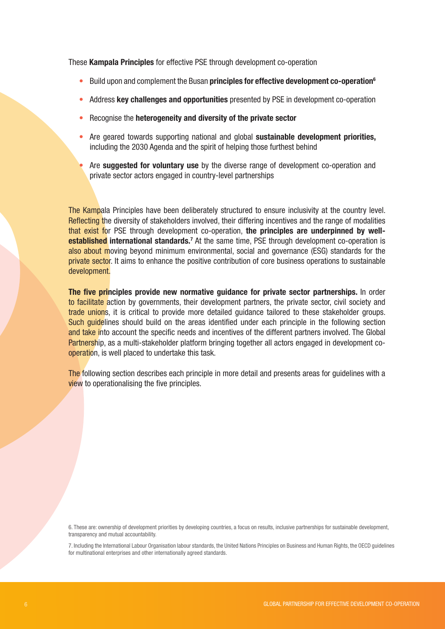These Kampala Principles for effective PSE through development co-operation

- Build upon and complement the Busan **principles for effective development co-operation**<sup>6</sup>
- Address key challenges and opportunities presented by PSE in development co-operation
- Recognise the heterogeneity and diversity of the private sector
- Are geared towards supporting national and global sustainable development priorities. including the 2030 Agenda and the spirit of helping those furthest behind
- Are **suggested for voluntary use** by the diverse range of development co-operation and private sector actors engaged in country-level partnerships

The Kampala Principles have been deliberately structured to ensure inclusivity at the country level. Reflecting the diversity of stakeholders involved, their differing incentives and the range of modalities that exist for PSE through development co-operation, the principles are underpinned by wellestablished international standards.<sup>7</sup> At the same time, PSE through development co-operation is also about moving beyond minimum environmental, social and governance (ESG) standards for the private sector. It aims to enhance the positive contribution of core business operations to sustainable development.

The five principles provide new normative guidance for private sector partnerships. In order to facilitate action by governments, their development partners, the private sector, civil society and trade unions, it is critical to provide more detailed guidance tailored to these stakeholder groups. Such quidelines should build on the areas identified under each principle in the following section and take into account the specific needs and incentives of the different partners involved. The Global Partnership, as a multi-stakeholder platform bringing together all actors engaged in development cooperation, is well placed to undertake this task.

The following section describes each principle in more detail and presents areas for guidelines with a view to operationalising the five principles.

6. These are: ownership of development priorities by developing countries, a focus on results, inclusive partnerships for sustainable development, transparency and mutual accountability.

7. Including the International Labour Organisation labour standards, the United Nations Principles on Business and Human Rights, the OECD guidelines for multinational enterprises and other internationally agreed standards.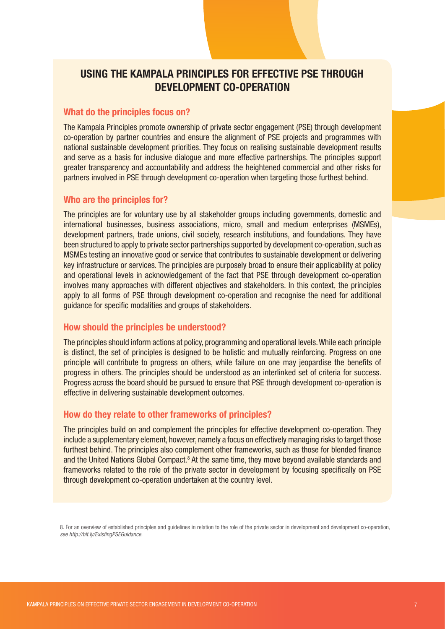#### USING THE KAMPALA PRINCIPLES FOR EFFECTIVE PSE THROUGH DEVELOPMENT CO-OPERATION

#### What do the principles focus on?

The Kampala Principles promote ownership of private sector engagement (PSE) through development co-operation by partner countries and ensure the alignment of PSE projects and programmes with national sustainable development priorities. They focus on realising sustainable development results and serve as a basis for inclusive dialogue and more effective partnerships. The principles support greater transparency and accountability and address the heightened commercial and other risks for partners involved in PSE through development co-operation when targeting those furthest behind.

#### Who are the principles for?

The principles are for voluntary use by all stakeholder groups including governments, domestic and international businesses, business associations, micro, small and medium enterprises (MSMEs), development partners, trade unions, civil society, research institutions, and foundations. They have been structured to apply to private sector partnerships supported by development co-operation, such as MSMEs testing an innovative good or service that contributes to sustainable development or delivering key infrastructure or services. The principles are purposely broad to ensure their applicability at policy and operational levels in acknowledgement of the fact that PSE through development co-operation involves many approaches with different objectives and stakeholders. In this context, the principles apply to all forms of PSE through development co-operation and recognise the need for additional guidance for specific modalities and groups of stakeholders.

#### How should the principles be understood?

The principles should inform actions at policy, programming and operational levels. While each principle is distinct, the set of principles is designed to be holistic and mutually reinforcing. Progress on one principle will contribute to progress on others, while failure on one may jeopardise the benefits of progress in others. The principles should be understood as an interlinked set of criteria for success. Progress across the board should be pursued to ensure that PSE through development co-operation is effective in delivering sustainable development outcomes.

#### How do they relate to other frameworks of principles?

The principles build on and complement the principles for effective development co-operation. They include a supplementary element, however, namely a focus on effectively managing risks to target those furthest behind. The principles also complement other frameworks, such as those for blended finance and the United Nations Global Compact.<sup>8</sup> At the same time, they move beyond available standards and frameworks related to the role of the private sector in development by focusing specifically on PSE through development co-operation undertaken at the country level.

8. For an overview of established principles and guidelines in relation to the role of the private sector in development and development co-operation, *see http://bit.ly/ExistingPSEGuidance.*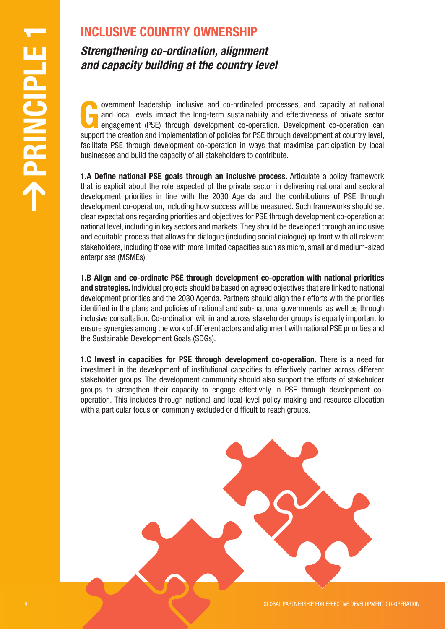## INCLUSIVE COUNTRY OWNERSHIP

*Strengthening co-ordination, alignment and capacity building at the country level* 

overnment leadership, inclusive and co-ordinated processes, and capacity at national and local levels impact the long-term sustainability and effectiveness of private sector engagement (PSE) through development co-operatio and local levels impact the long-term sustainability and effectiveness of private sector support the creation and implementation of policies for PSE through development at country level, facilitate PSE through development co-operation in ways that maximise participation by local businesses and build the capacity of all stakeholders to contribute.

**EXECUTE:** UNIT **CONFIDENTIAL CONFIDENTIAL CONFIDENTIAL CONFIDENTIAL CONFIDENTIAL CONFIDENTIAL CONFIDENTIAL CONFIDENTIAL CONFIDENTIAL CONFIDENTIAL CONFIDENTIAL CONFIDENTIAL CONFIDENTIAL CONFIDENTIAL CONFIDENTIAL CONFIDENT 1.A Define national PSE goals through an inclusive process.** Articulate a policy framework that is explicit about the role expected of the private sector in delivering national and sectoral development priorities in line with the 2030 Agenda and the contributions of PSE through development co-operation, including how success will be measured. Such frameworks should set clear expectations regarding priorities and objectives for PSE through development co-operation at national level, including in key sectors and markets. They should be developed through an inclusive and equitable process that allows for dialogue (including social dialogue) up front with all relevant stakeholders, including those with more limited capacities such as micro, small and medium-sized enterprises (MSMEs).

1.B Align and co-ordinate PSE through development co-operation with national priorities and strategies. Individual projects should be based on agreed objectives that are linked to national development priorities and the 2030 Agenda. Partners should align their efforts with the priorities identified in the plans and policies of national and sub-national governments, as well as through inclusive consultation. Co-ordination within and across stakeholder groups is equally important to ensure synergies among the work of different actors and alignment with national PSE priorities and the Sustainable Development Goals (SDGs).

1.C Invest in capacities for PSE through development co-operation. There is a need for investment in the development of institutional capacities to effectively partner across different stakeholder groups. The development community should also support the efforts of stakeholder groups to strengthen their capacity to engage effectively in PSE through development cooperation. This includes through national and local-level policy making and resource allocation with a particular focus on commonly excluded or difficult to reach groups.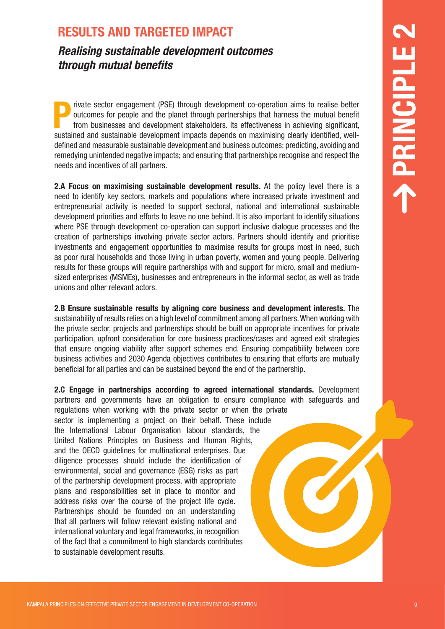### RESULTS AND TARGETED IMPACT

*Realising sustainable development outcomes through mutual benefits*

Private sector engagement (PSE) through development co-operation aims to realise better<br>outcomes for people and the planet through partnerships that harness the mutual benefit<br>from businesses and development stakeholders. outcomes for people and the planet through partnerships that harness the mutual benefit from businesses and development stakeholders. Its effectiveness in achieving significant, sustained and sustainable development impacts depends on maximising clearly identified, welldefined and measurable sustainable development and business outcomes; predicting, avoiding and remedying unintended negative impacts; and ensuring that partnerships recognise and respect the needs and incentives of all partners.

2.A Focus on maximising sustainable development results. At the policy level there is a need to identify key sectors, markets and populations where increased private investment and entrepreneurial activity is needed to support sectoral, national and international sustainable development priorities and efforts to leave no one behind. It is also important to identify situations where PSE through development co-operation can support inclusive dialogue processes and the creation of partnerships involving private sector actors. Partners should identify and prioritise investments and engagement opportunities to maximise results for groups most in need, such as poor rural households and those living in urban poverty, women and young people. Delivering results for these groups will require partnerships with and support for micro, small and mediumsized enterprises (MSMEs), businesses and entrepreneurs in the informal sector, as well as trade unions and other relevant actors.

2.B Ensure sustainable results by aligning core business and development interests. The sustainability of results relies on a high level of commitment among all partners. When working with the private sector, projects and partnerships should be built on appropriate incentives for private participation, upfront consideration for core business practices/cases and agreed exit strategies that ensure ongoing viability after support schemes end. Ensuring compatibility between core business activities and 2030 Agenda objectives contributes to ensuring that efforts are mutually beneficial for all parties and can be sustained beyond the end of the partnership.

RESULTS AND TARGETED IMPACT<br>
Reduced and the state supposed 25% (move) studential development corrections in the main transition of the state of the state of the state of the state of the state of the state of the state o 2.C Engage in partnerships according to agreed international standards. Development partners and governments have an obligation to ensure compliance with safeguards and regulations when working with the private sector or when the private sector is implementing a project on their behalf. These include the International Labour Organisation labour standards, the United Nations Principles on Business and Human Rights, and the OECD guidelines for multinational enterprises. Due diligence processes should include the identification of environmental, social and governance (ESG) risks as part of the partnership development process, with appropriate plans and responsibilities set in place to monitor and address risks over the course of the project life cycle. Partnerships should be founded on an understanding that all partners will follow relevant existing national and international voluntary and legal frameworks, in recognition of the fact that a commitment to high standards contributes to sustainable development results.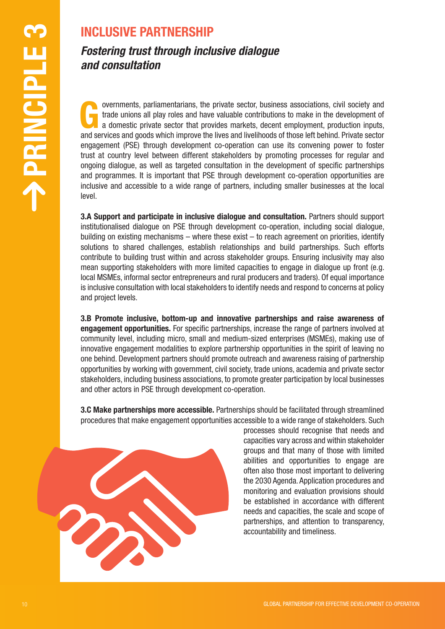## INCLUSIVE PARTNERSHIP

### *Fostering trust through inclusive dialogue and consultation*

10 INCLUSIVE PARTNERSHIP<br>
and constitution the intervention to private social constraints of visitors of a specific state of a specific state of a specific state of a specific state of a specific state of a specific state overnments, parliamentarians, the private sector, business associations, civil society and trade unions all play roles and have valuable contributions to make in the development of a domestic private sector that provides m trade unions all play roles and have valuable contributions to make in the development of and services and goods which improve the lives and livelihoods of those left behind. Private sector engagement (PSE) through development co-operation can use its convening power to foster trust at country level between different stakeholders by promoting processes for regular and ongoing dialogue, as well as targeted consultation in the development of specific partnerships and programmes. It is important that PSE through development co-operation opportunities are inclusive and accessible to a wide range of partners, including smaller businesses at the local level.

3.A Support and participate in inclusive dialogue and consultation. Partners should support institutionalised dialogue on PSE through development co-operation, including social dialogue, building on existing mechanisms – where these exist – to reach agreement on priorities, identify solutions to shared challenges, establish relationships and build partnerships. Such efforts contribute to building trust within and across stakeholder groups. Ensuring inclusivity may also mean supporting stakeholders with more limited capacities to engage in dialogue up front (e.g. local MSMEs, informal sector entrepreneurs and rural producers and traders). Of equal importance is inclusive consultation with local stakeholders to identify needs and respond to concerns at policy and project levels.

3.B Promote inclusive, bottom-up and innovative partnerships and raise awareness of engagement opportunities. For specific partnerships, increase the range of partners involved at community level, including micro, small and medium-sized enterprises (MSMEs), making use of innovative engagement modalities to explore partnership opportunities in the spirit of leaving no one behind. Development partners should promote outreach and awareness raising of partnership opportunities by working with government, civil society, trade unions, academia and private sector stakeholders, including business associations, to promote greater participation by local businesses and other actors in PSE through development co-operation.

**3.C Make partnerships more accessible.** Partnerships should be facilitated through streamlined procedures that make engagement opportunities accessible to a wide range of stakeholders. Such

> processes should recognise that needs and capacities vary across and within stakeholder groups and that many of those with limited abilities and opportunities to engage are often also those most important to delivering the 2030 Agenda. Application procedures and monitoring and evaluation provisions should be established in accordance with different needs and capacities, the scale and scope of partnerships, and attention to transparency, accountability and timeliness.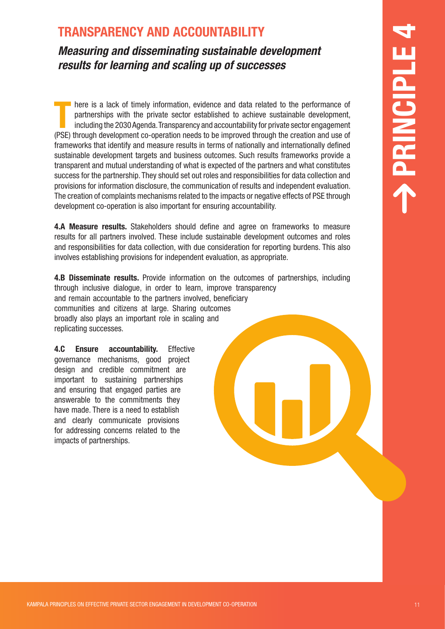## TRANSPARENCY AND ACCOUNTABILITY

*Measuring and disseminating sustainable development results for learning and scaling up of successes*

TRANSPARENT O' AND ACCOUNTABILITY<br>
Measurement and disseminating and starting and starting and starting and starting and starting and starting and starting and starting and starting and starting and starting and starting There is a lack of timely information, evidence and data related to the performance of partnerships with the private sector established to achieve sustainable development, including the 2030 Agenda. Transparency and accoun partnerships with the private sector established to achieve sustainable development, (PSE) through development co-operation needs to be improved through the creation and use of frameworks that identify and measure results in terms of nationally and internationally defined sustainable development targets and business outcomes. Such results frameworks provide a transparent and mutual understanding of what is expected of the partners and what constitutes success for the partnership. They should set out roles and responsibilities for data collection and provisions for information disclosure, the communication of results and independent evaluation. The creation of complaints mechanisms related to the impacts or negative effects of PSE through development co-operation is also important for ensuring accountability.

4.A Measure results. Stakeholders should define and agree on frameworks to measure results for all partners involved. These include sustainable development outcomes and roles and responsibilities for data collection, with due consideration for reporting burdens. This also involves establishing provisions for independent evaluation, as appropriate.

**4.B Disseminate results.** Provide information on the outcomes of partnerships, including through inclusive dialogue, in order to learn, improve transparency and remain accountable to the partners involved, beneficiary communities and citizens at large. Sharing outcomes broadly also plays an important role in scaling and replicating successes.

4.C Ensure accountability. Effective governance mechanisms, good project design and credible commitment are important to sustaining partnerships and ensuring that engaged parties are answerable to the commitments they have made. There is a need to establish and clearly communicate provisions for addressing concerns related to the impacts of partnerships.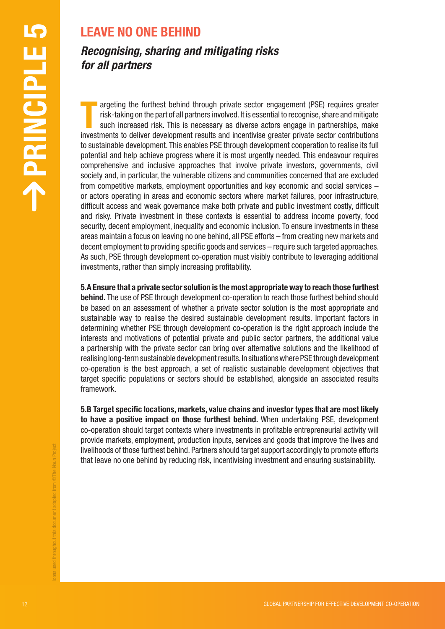## LEAVE NO ONE BEHIND

## *Recognising, sharing and mitigating risks for all partners*

**12 GAVE NO ONE BEHIND**<br> **Exception the stretch shind choose** priceles society organizeror (FSE) receives absorption of the stretch shind choose principles absorption of the stretch shind co-operation by a stretch shind co argeting the furthest behind through private sector engagement (PSE) requires greater risk-taking on the part of all partners involved. It is essential to recognise, share and mitigate such increased risk. This is necessar argeting the furthest behind through private sector engagement (PSE) requires greater risk-taking on the part of all partners involved. It is essential to recognise, share and mitigate such increased risk. This is necessary as diverse actors engage in partnerships, make to sustainable development. This enables PSE through development cooperation to realise its full potential and help achieve progress where it is most urgently needed. This endeavour requires comprehensive and inclusive approaches that involve private investors, governments, civil society and, in particular, the vulnerable citizens and communities concerned that are excluded from competitive markets, employment opportunities and key economic and social services – or actors operating in areas and economic sectors where market failures, poor infrastructure, difficult access and weak governance make both private and public investment costly, difficult and risky. Private investment in these contexts is essential to address income poverty, food security, decent employment, inequality and economic inclusion. To ensure investments in these areas maintain a focus on leaving no one behind, all PSE efforts – from creating new markets and decent employment to providing specific goods and services – require such targeted approaches. As such, PSE through development co-operation must visibly contribute to leveraging additional investments, rather than simply increasing profitability.

5.A Ensure that a private sector solution is the most appropriate way to reach those furthest behind. The use of PSE through development co-operation to reach those furthest behind should be based on an assessment of whether a private sector solution is the most appropriate and sustainable way to realise the desired sustainable development results. Important factors in determining whether PSE through development co-operation is the right approach include the interests and motivations of potential private and public sector partners, the additional value a partnership with the private sector can bring over alternative solutions and the likelihood of realising long-term sustainable development results. In situations where PSE through development co-operation is the best approach, a set of realistic sustainable development objectives that target specific populations or sectors should be established, alongside an associated results framework.

5.B Target specific locations, markets, value chains and investor types that are most likely to have a positive impact on those furthest behind. When undertaking PSE, development co-operation should target contexts where investments in profitable entrepreneurial activity will provide markets, employment, production inputs, services and goods that improve the lives and livelihoods of those furthest behind. Partners should target support accordingly to promote efforts that leave no one behind by reducing risk, incentivising investment and ensuring sustainability.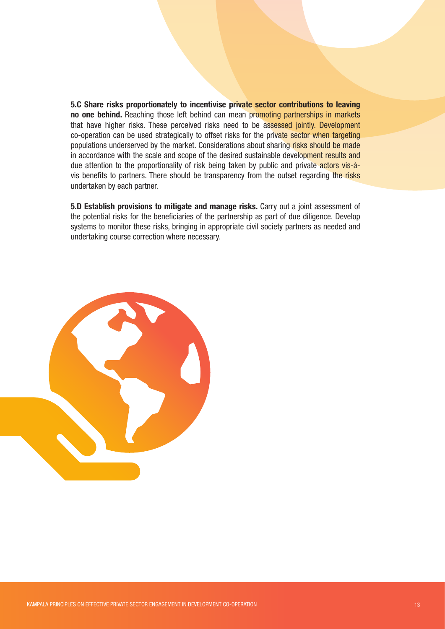5.C Share risks proportionately to incentivise private sector contributions to leaving no one behind. Reaching those left behind can mean promoting partnerships in markets that have higher risks. These perceived risks need to be assessed jointly. Development co-operation can be used strategically to offset risks for the private sector when targeting populations underserved by the market. Considerations about sharing risks should be made in accordance with the scale and scope of the desired sustainable development results and due attention to the proportionality of risk being taken by public and private actors vis-àvis benefits to partners. There should be transparency from the outset regarding the risks undertaken by each partner.

5.D Establish provisions to mitigate and manage risks. Carry out a joint assessment of the potential risks for the beneficiaries of the partnership as part of due diligence. Develop systems to monitor these risks, bringing in appropriate civil society partners as needed and undertaking course correction where necessary.

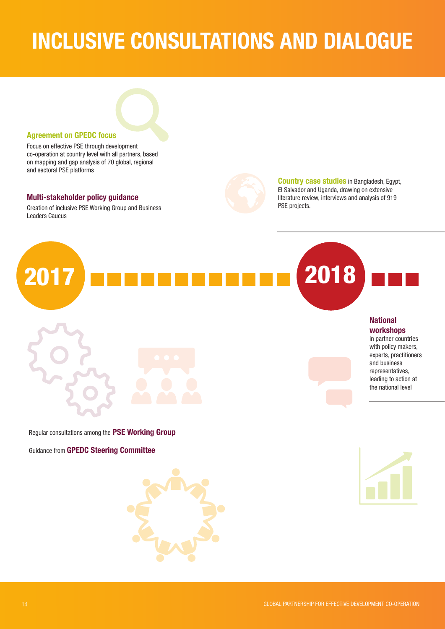# INCLUSIVE CONSULTATIONS AND DIALOGUE



Focus on effective PSE through development co-operation at country level with all partners, based on mapping and gap analysis of 70 global, regional and sectoral PSE platforms

#### Multi-stakeholder policy guidance

Creation of inclusive PSE Working Group and Business Leaders Caucus



Country case studies in Bangladesh, Egypt, El Salvador and Uganda, drawing on extensive literature review, interviews and analysis of 919 PSE projects.



Regular consultations among the PSE Working Group

Guidance from GPEDC Steering Committee



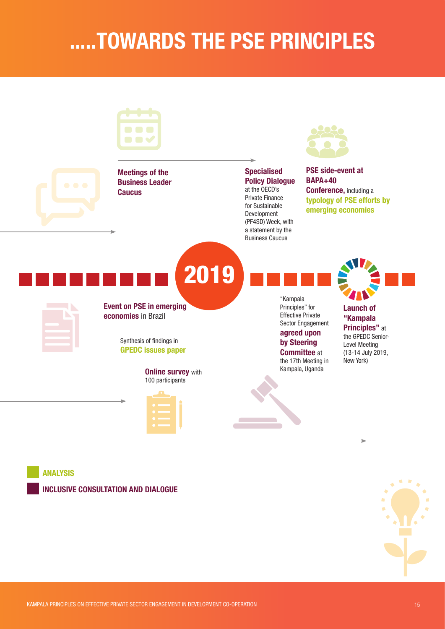# .....TOWARDS THE PSE PRINCIPLES



ANALYSIS

INCLUSIVE CONSULTATION AND DIALOGUE